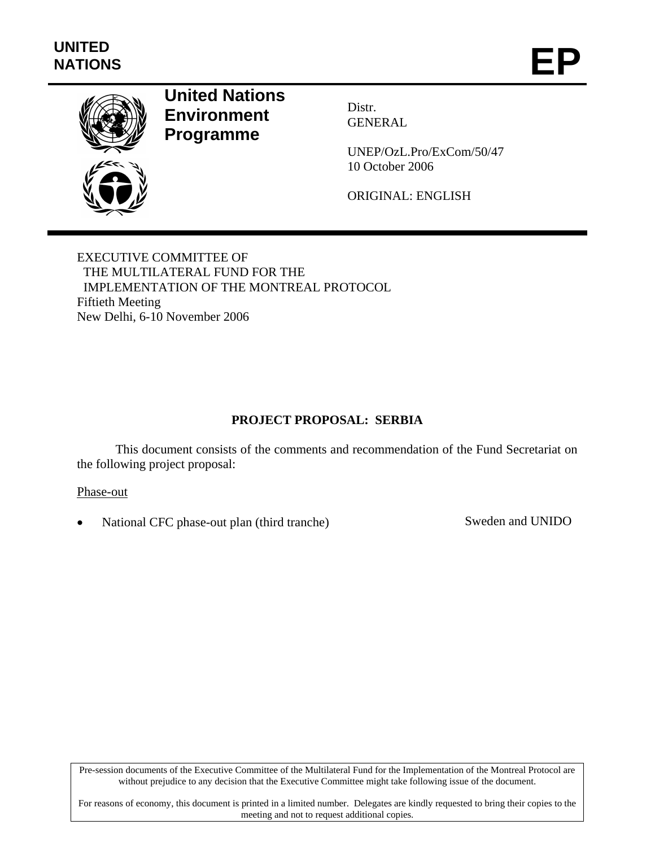

# **United Nations Environment Programme**

Distr. GENERAL

UNEP/OzL.Pro/ExCom/50/47 10 October 2006

ORIGINAL: ENGLISH

EXECUTIVE COMMITTEE OF THE MULTILATERAL FUND FOR THE IMPLEMENTATION OF THE MONTREAL PROTOCOL Fiftieth Meeting New Delhi, 6-10 November 2006

## **PROJECT PROPOSAL: SERBIA**

This document consists of the comments and recommendation of the Fund Secretariat on the following project proposal:

Phase-out

• National CFC phase-out plan (third tranche) Sweden and UNIDO

Pre-session documents of the Executive Committee of the Multilateral Fund for the Implementation of the Montreal Protocol are without prejudice to any decision that the Executive Committee might take following issue of the document.

For reasons of economy, this document is printed in a limited number. Delegates are kindly requested to bring their copies to the meeting and not to request additional copies.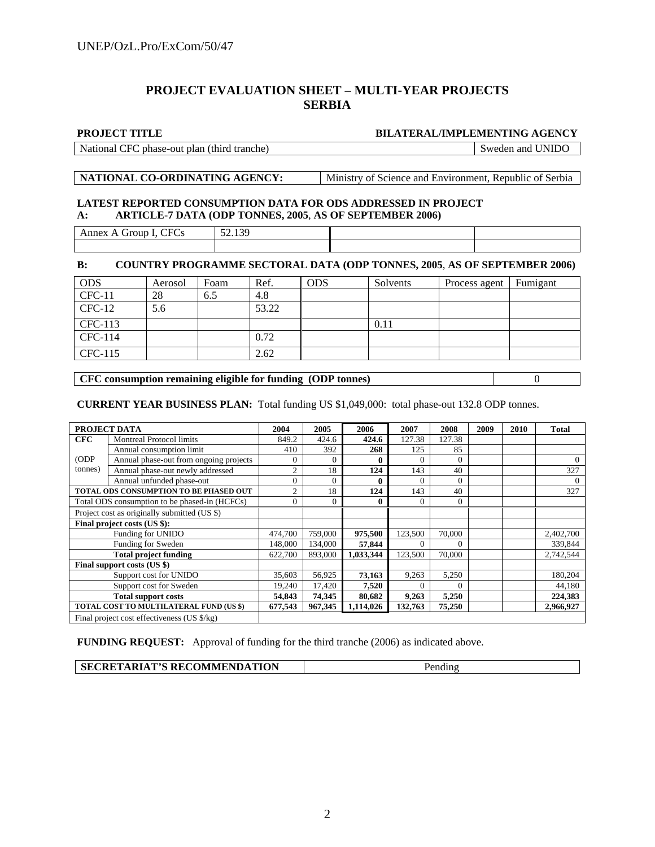## **PROJECT EVALUATION SHEET – MULTI-YEAR PROJECTS SERBIA**

#### **PROJECT TITLE BILATERAL/IMPLEMENTING AGENCY**

National CFC phase-out plan (third tranche) Sweden and UNIDO

**NATIONAL CO-ORDINATING AGENCY:** Ministry of Science and Environment, Republic of Serbia

#### **LATEST REPORTED CONSUMPTION DATA FOR ODS ADDRESSED IN PROJECT A: ARTICLE-7 DATA (ODP TONNES, 2005**, **AS OF SEPTEMBER 2006)**

| $\tau_{\rm E}$<br>nnex<br>$-$<br>А.<br>חווט<br>$-$<br>____<br>___ | $\overline{\phantom{a}}$<br>$. \cap C$<br>$\sim$<br>$J = 1J$ |  |
|-------------------------------------------------------------------|--------------------------------------------------------------|--|
|                                                                   |                                                              |  |

### **B: COUNTRY PROGRAMME SECTORAL DATA (ODP TONNES, 2005**, **AS OF SEPTEMBER 2006)**

| <b>ODS</b> | Aerosol | Foam | Ref.  | <b>ODS</b> | Solvents | Process agent | Fumigant |
|------------|---------|------|-------|------------|----------|---------------|----------|
| $CFC-11$   | 28      | 6.5  | 4.8   |            |          |               |          |
| $CFC-12$   | 5.6     |      | 53.22 |            |          |               |          |
| CFC-113    |         |      |       |            | 0.11     |               |          |
| CFC-114    |         |      | 0.72  |            |          |               |          |
| CFC-115    |         |      | 2.62  |            |          |               |          |

**CFC consumption remaining eligible for funding (ODP tonnes)** 0

#### **CURRENT YEAR BUSINESS PLAN:** Total funding US \$1,049,000: total phase-out 132.8 ODP tonnes.

|            | PROJECT DATA                                  | 2004           | 2005           | 2006      | 2007     | 2008     | 2009 | 2010 | <b>Total</b> |
|------------|-----------------------------------------------|----------------|----------------|-----------|----------|----------|------|------|--------------|
| <b>CFC</b> | <b>Montreal Protocol limits</b>               | 849.2          | 424.6          | 424.6     | 127.38   | 127.38   |      |      |              |
|            | Annual consumption limit                      | 410            | 392            | 268       | 125      | 85       |      |      |              |
| (ODP)      | Annual phase-out from ongoing projects        | $\theta$       | $\Omega$       | 0         | $\theta$ | $\theta$ |      |      | $\Omega$     |
| tonnes)    | Annual phase-out newly addressed              | $\overline{2}$ | 18             | 124       | 143      | 40       |      |      | 327          |
|            | Annual unfunded phase-out                     | $\Omega$       | $\Omega$       | 0         | 0        | $\theta$ |      |      |              |
|            | TOTAL ODS CONSUMPTION TO BE PHASED OUT        | $\overline{2}$ | 18             | 124       | 143      | 40       |      |      | 327          |
|            | Total ODS consumption to be phased-in (HCFCs) | $\theta$       | $\overline{0}$ | 0         | 0        | $\Omega$ |      |      |              |
|            | Project cost as originally submitted (US \$)  |                |                |           |          |          |      |      |              |
|            | Final project costs (US \$):                  |                |                |           |          |          |      |      |              |
|            | Funding for UNIDO                             | 474,700        | 759,000        | 975,500   | 123,500  | 70,000   |      |      | 2,402,700    |
|            | Funding for Sweden                            | 148,000        | 134,000        | 57,844    | 0        | $\Omega$ |      |      | 339,844      |
|            | <b>Total project funding</b>                  | 622,700        | 893,000        | 1,033,344 | 123,500  | 70,000   |      |      | 2,742,544    |
|            | Final support costs (US \$)                   |                |                |           |          |          |      |      |              |
|            | Support cost for UNIDO                        | 35,603         | 56,925         | 73,163    | 9,263    | 5,250    |      |      | 180,204      |
|            | Support cost for Sweden                       | 19,240         | 17,420         | 7,520     | 0        | $\Omega$ |      |      | 44,180       |
|            | <b>Total support costs</b>                    | 54,843         | 74.345         | 80,682    | 9,263    | 5,250    |      |      | 224,383      |
|            | TOTAL COST TO MULTILATERAL FUND (US \$)       | 677,543        | 967,345        | 1,114,026 | 132,763  | 75,250   |      |      | 2,966,927    |
|            | Final project cost effectiveness (US \$/kg)   |                |                |           |          |          |      |      |              |

**FUNDING REQUEST:** Approval of funding for the third tranche (2006) as indicated above.

|--|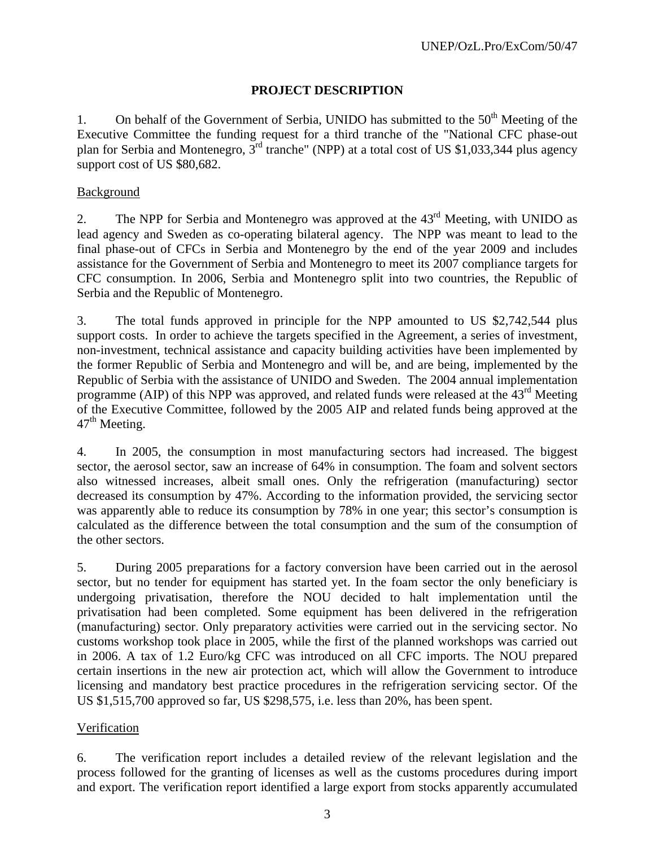## **PROJECT DESCRIPTION**

1. On behalf of the Government of Serbia, UNIDO has submitted to the  $50<sup>th</sup>$  Meeting of the Executive Committee the funding request for a third tranche of the "National CFC phase-out plan for Serbia and Montenegro, 3rd tranche" (NPP) at a total cost of US \$1,033,344 plus agency support cost of US \$80,682.

## Background

2. The NPP for Serbia and Montenegro was approved at the 43<sup>rd</sup> Meeting, with UNIDO as lead agency and Sweden as co-operating bilateral agency. The NPP was meant to lead to the final phase-out of CFCs in Serbia and Montenegro by the end of the year 2009 and includes assistance for the Government of Serbia and Montenegro to meet its 2007 compliance targets for CFC consumption. In 2006, Serbia and Montenegro split into two countries, the Republic of Serbia and the Republic of Montenegro.

3. The total funds approved in principle for the NPP amounted to US \$2,742,544 plus support costs. In order to achieve the targets specified in the Agreement, a series of investment, non-investment, technical assistance and capacity building activities have been implemented by the former Republic of Serbia and Montenegro and will be, and are being, implemented by the Republic of Serbia with the assistance of UNIDO and Sweden. The 2004 annual implementation programme (AIP) of this NPP was approved, and related funds were released at the  $43<sup>rd</sup>$  Meeting of the Executive Committee, followed by the 2005 AIP and related funds being approved at the  $47<sup>th</sup>$  Meeting.

4. In 2005, the consumption in most manufacturing sectors had increased. The biggest sector, the aerosol sector, saw an increase of 64% in consumption. The foam and solvent sectors also witnessed increases, albeit small ones. Only the refrigeration (manufacturing) sector decreased its consumption by 47%. According to the information provided, the servicing sector was apparently able to reduce its consumption by 78% in one year; this sector's consumption is calculated as the difference between the total consumption and the sum of the consumption of the other sectors.

5. During 2005 preparations for a factory conversion have been carried out in the aerosol sector, but no tender for equipment has started yet. In the foam sector the only beneficiary is undergoing privatisation, therefore the NOU decided to halt implementation until the privatisation had been completed. Some equipment has been delivered in the refrigeration (manufacturing) sector. Only preparatory activities were carried out in the servicing sector. No customs workshop took place in 2005, while the first of the planned workshops was carried out in 2006. A tax of 1.2 Euro/kg CFC was introduced on all CFC imports. The NOU prepared certain insertions in the new air protection act, which will allow the Government to introduce licensing and mandatory best practice procedures in the refrigeration servicing sector. Of the US \$1,515,700 approved so far, US \$298,575, i.e. less than 20%, has been spent.

## Verification

6. The verification report includes a detailed review of the relevant legislation and the process followed for the granting of licenses as well as the customs procedures during import and export. The verification report identified a large export from stocks apparently accumulated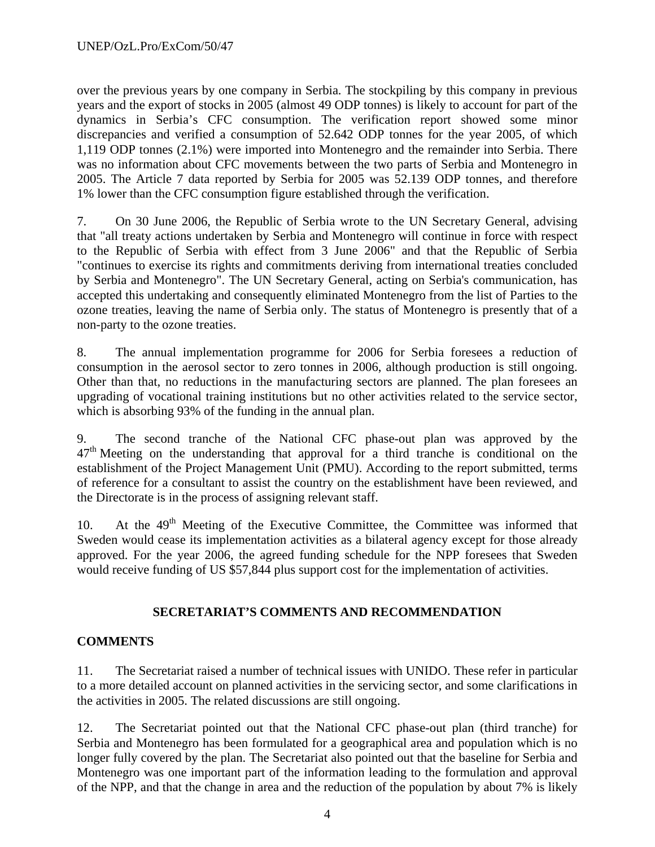over the previous years by one company in Serbia. The stockpiling by this company in previous years and the export of stocks in 2005 (almost 49 ODP tonnes) is likely to account for part of the dynamics in Serbia's CFC consumption. The verification report showed some minor discrepancies and verified a consumption of 52.642 ODP tonnes for the year 2005, of which 1,119 ODP tonnes (2.1%) were imported into Montenegro and the remainder into Serbia. There was no information about CFC movements between the two parts of Serbia and Montenegro in 2005. The Article 7 data reported by Serbia for 2005 was 52.139 ODP tonnes, and therefore 1% lower than the CFC consumption figure established through the verification.

7. On 30 June 2006, the Republic of Serbia wrote to the UN Secretary General, advising that "all treaty actions undertaken by Serbia and Montenegro will continue in force with respect to the Republic of Serbia with effect from 3 June 2006" and that the Republic of Serbia "continues to exercise its rights and commitments deriving from international treaties concluded by Serbia and Montenegro". The UN Secretary General, acting on Serbia's communication, has accepted this undertaking and consequently eliminated Montenegro from the list of Parties to the ozone treaties, leaving the name of Serbia only. The status of Montenegro is presently that of a non-party to the ozone treaties.

8. The annual implementation programme for 2006 for Serbia foresees a reduction of consumption in the aerosol sector to zero tonnes in 2006, although production is still ongoing. Other than that, no reductions in the manufacturing sectors are planned. The plan foresees an upgrading of vocational training institutions but no other activities related to the service sector, which is absorbing 93% of the funding in the annual plan.

9. The second tranche of the National CFC phase-out plan was approved by the  $47<sup>th</sup>$  Meeting on the understanding that approval for a third tranche is conditional on the establishment of the Project Management Unit (PMU). According to the report submitted, terms of reference for a consultant to assist the country on the establishment have been reviewed, and the Directorate is in the process of assigning relevant staff.

10. At the 49<sup>th</sup> Meeting of the Executive Committee, the Committee was informed that Sweden would cease its implementation activities as a bilateral agency except for those already approved. For the year 2006, the agreed funding schedule for the NPP foresees that Sweden would receive funding of US \$57,844 plus support cost for the implementation of activities.

## **SECRETARIAT'S COMMENTS AND RECOMMENDATION**

## **COMMENTS**

11. The Secretariat raised a number of technical issues with UNIDO. These refer in particular to a more detailed account on planned activities in the servicing sector, and some clarifications in the activities in 2005. The related discussions are still ongoing.

12. The Secretariat pointed out that the National CFC phase-out plan (third tranche) for Serbia and Montenegro has been formulated for a geographical area and population which is no longer fully covered by the plan. The Secretariat also pointed out that the baseline for Serbia and Montenegro was one important part of the information leading to the formulation and approval of the NPP, and that the change in area and the reduction of the population by about 7% is likely